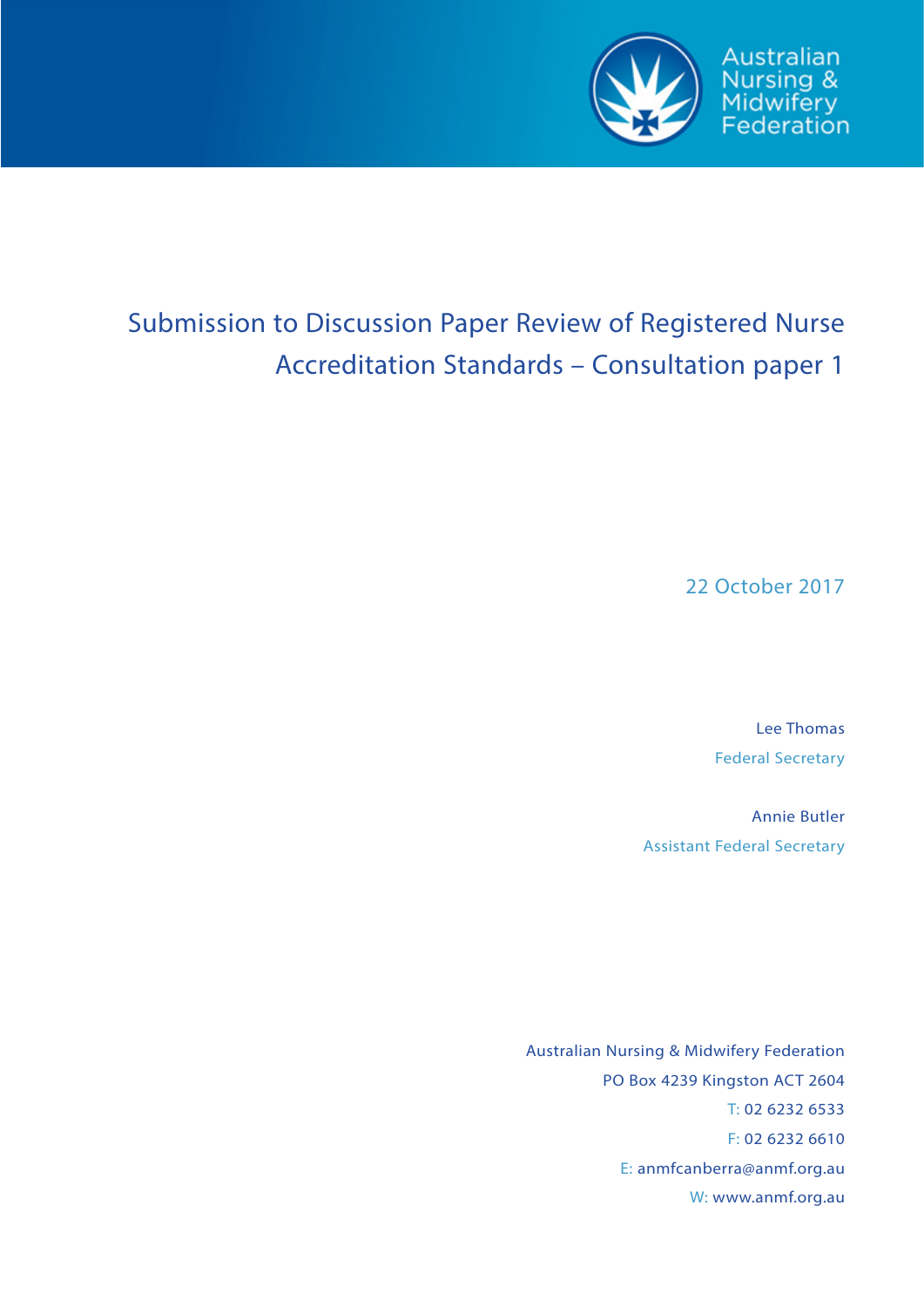

# Submission to Discussion Paper Review of Registered Nurse Accreditation Standards – Consultation paper 1

22 October 2017

Lee Thomas Federal Secretary

Annie Butler Assistant Federal Secretary

Australian Nursing & Midwifery Federation PO Box 4239 Kingston ACT 2604 T: 02 6232 6533 F: 02 6232 6610 E: anmfcanberra@anmf.org.au W: www.anmf.org.au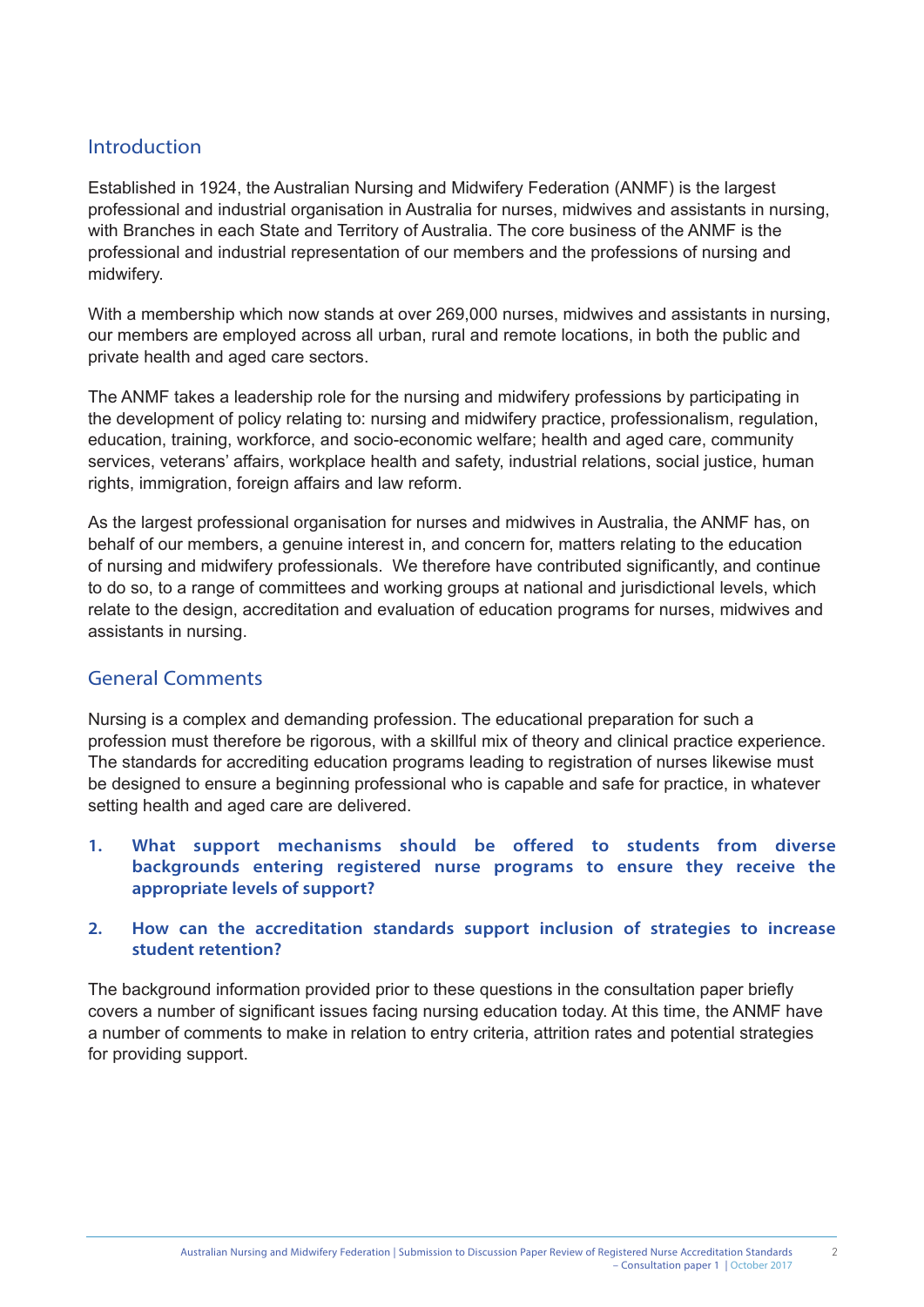# Introduction

Established in 1924, the Australian Nursing and Midwifery Federation (ANMF) is the largest professional and industrial organisation in Australia for nurses, midwives and assistants in nursing, with Branches in each State and Territory of Australia. The core business of the ANMF is the professional and industrial representation of our members and the professions of nursing and midwifery.

With a membership which now stands at over 269,000 nurses, midwives and assistants in nursing, our members are employed across all urban, rural and remote locations, in both the public and private health and aged care sectors.

The ANMF takes a leadership role for the nursing and midwifery professions by participating in the development of policy relating to: nursing and midwifery practice, professionalism, regulation, education, training, workforce, and socio-economic welfare; health and aged care, community services, veterans' affairs, workplace health and safety, industrial relations, social justice, human rights, immigration, foreign affairs and law reform.

As the largest professional organisation for nurses and midwives in Australia, the ANMF has, on behalf of our members, a genuine interest in, and concern for, matters relating to the education of nursing and midwifery professionals. We therefore have contributed significantly, and continue to do so, to a range of committees and working groups at national and jurisdictional levels, which relate to the design, accreditation and evaluation of education programs for nurses, midwives and assistants in nursing.

# General Comments

Nursing is a complex and demanding profession. The educational preparation for such a profession must therefore be rigorous, with a skillful mix of theory and clinical practice experience. The standards for accrediting education programs leading to registration of nurses likewise must be designed to ensure a beginning professional who is capable and safe for practice, in whatever setting health and aged care are delivered.

- **1. What support mechanisms should be offered to students from diverse backgrounds entering registered nurse programs to ensure they receive the appropriate levels of support?**
- **2. How can the accreditation standards support inclusion of strategies to increase student retention?**

The background information provided prior to these questions in the consultation paper briefly covers a number of significant issues facing nursing education today. At this time, the ANMF have a number of comments to make in relation to entry criteria, attrition rates and potential strategies for providing support.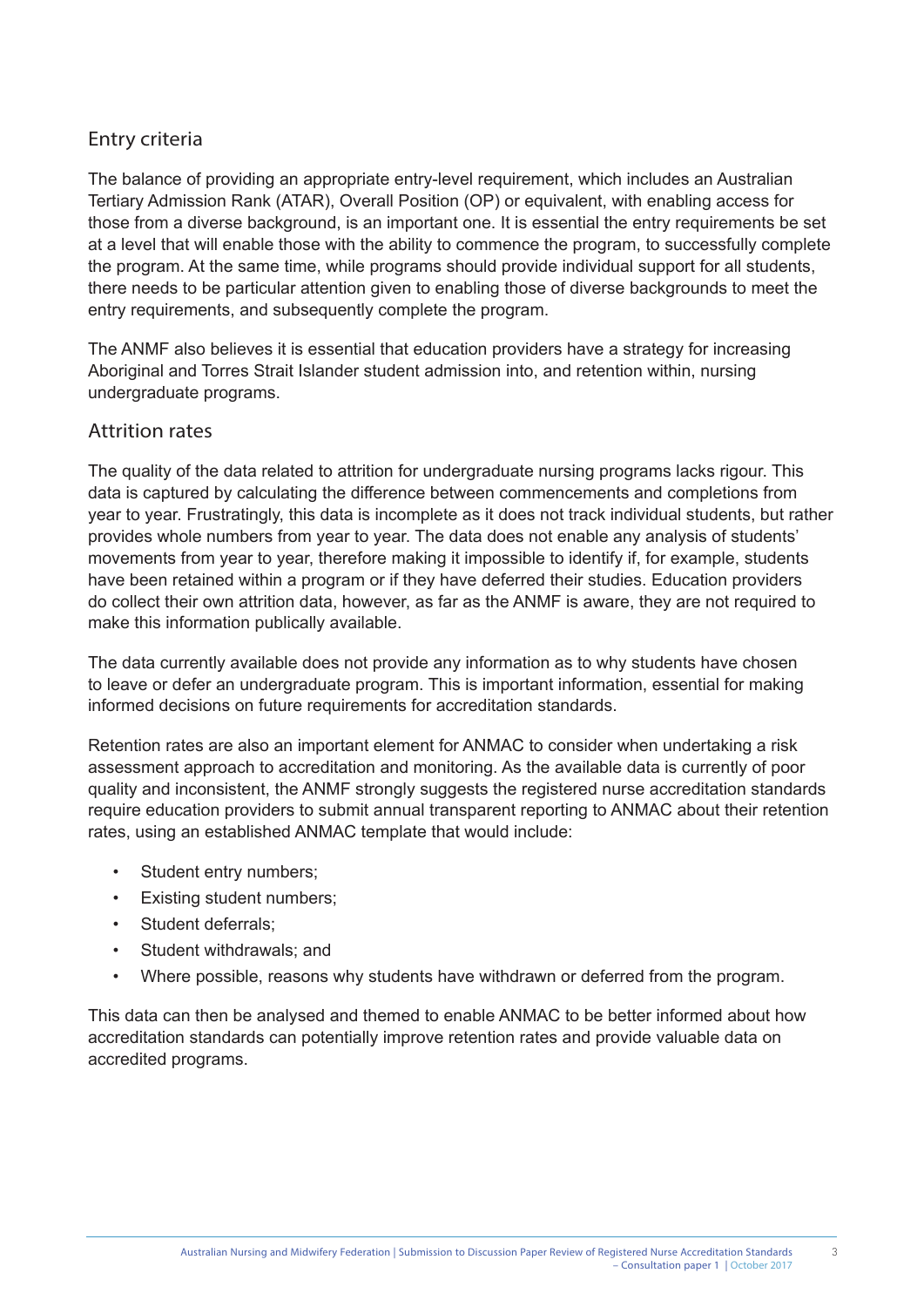# Entry criteria

The balance of providing an appropriate entry-level requirement, which includes an Australian Tertiary Admission Rank (ATAR), Overall Position (OP) or equivalent, with enabling access for those from a diverse background, is an important one. It is essential the entry requirements be set at a level that will enable those with the ability to commence the program, to successfully complete the program. At the same time, while programs should provide individual support for all students, there needs to be particular attention given to enabling those of diverse backgrounds to meet the entry requirements, and subsequently complete the program.

The ANMF also believes it is essential that education providers have a strategy for increasing Aboriginal and Torres Strait Islander student admission into, and retention within, nursing undergraduate programs.

#### Attrition rates

The quality of the data related to attrition for undergraduate nursing programs lacks rigour. This data is captured by calculating the difference between commencements and completions from year to year. Frustratingly, this data is incomplete as it does not track individual students, but rather provides whole numbers from year to year. The data does not enable any analysis of students' movements from year to year, therefore making it impossible to identify if, for example, students have been retained within a program or if they have deferred their studies. Education providers do collect their own attrition data, however, as far as the ANMF is aware, they are not required to make this information publically available.

The data currently available does not provide any information as to why students have chosen to leave or defer an undergraduate program. This is important information, essential for making informed decisions on future requirements for accreditation standards.

Retention rates are also an important element for ANMAC to consider when undertaking a risk assessment approach to accreditation and monitoring. As the available data is currently of poor quality and inconsistent, the ANMF strongly suggests the registered nurse accreditation standards require education providers to submit annual transparent reporting to ANMAC about their retention rates, using an established ANMAC template that would include:

- Student entry numbers;
- Existing student numbers;
- Student deferrals:
- Student withdrawals; and
- Where possible, reasons why students have withdrawn or deferred from the program.

This data can then be analysed and themed to enable ANMAC to be better informed about how accreditation standards can potentially improve retention rates and provide valuable data on accredited programs.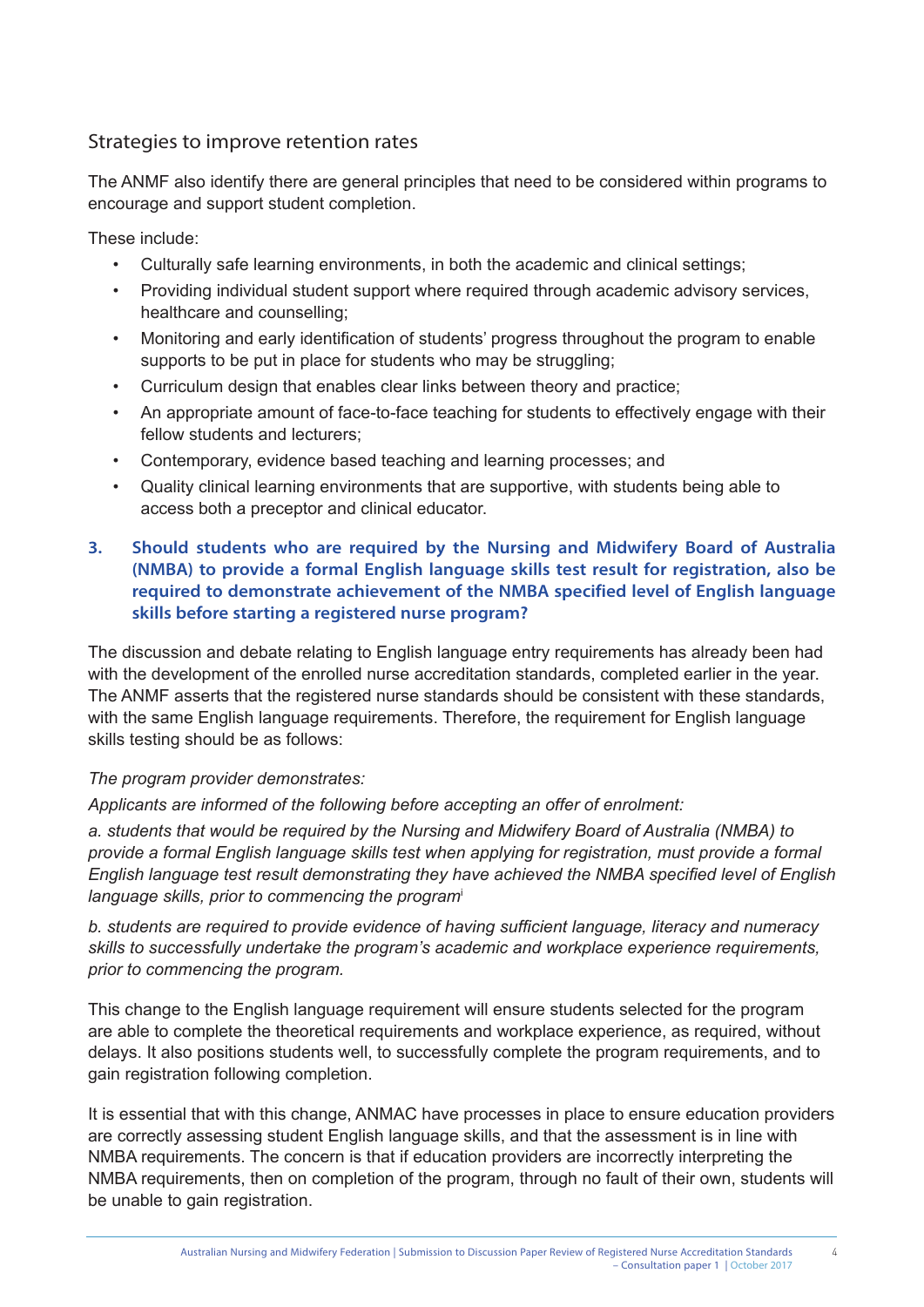# Strategies to improve retention rates

The ANMF also identify there are general principles that need to be considered within programs to encourage and support student completion.

These include:

- Culturally safe learning environments, in both the academic and clinical settings;
- Providing individual student support where required through academic advisory services, healthcare and counselling;
- Monitoring and early identification of students' progress throughout the program to enable supports to be put in place for students who may be struggling;
- Curriculum design that enables clear links between theory and practice;
- An appropriate amount of face-to-face teaching for students to effectively engage with their fellow students and lecturers;
- Contemporary, evidence based teaching and learning processes; and
- Quality clinical learning environments that are supportive, with students being able to access both a preceptor and clinical educator.

#### **3. Should students who are required by the Nursing and Midwifery Board of Australia (NMBA) to provide a formal English language skills test result for registration, also be required to demonstrate achievement of the NMBA specified level of English language skills before starting a registered nurse program?**

The discussion and debate relating to English language entry requirements has already been had with the development of the enrolled nurse accreditation standards, completed earlier in the year. The ANMF asserts that the registered nurse standards should be consistent with these standards, with the same English language requirements. Therefore, the requirement for English language skills testing should be as follows:

#### *The program provider demonstrates:*

*Applicants are informed of the following before accepting an offer of enrolment:*

*a. students that would be required by the Nursing and Midwifery Board of Australia (NMBA) to provide a formal English language skills test when applying for registration, must provide a formal English language test result demonstrating they have achieved the NMBA specified level of English language skills, prior to commencing the program*<sup>i</sup>

*b. students are required to provide evidence of having sufficient language, literacy and numeracy skills to successfully undertake the program's academic and workplace experience requirements, prior to commencing the program.* 

This change to the English language requirement will ensure students selected for the program are able to complete the theoretical requirements and workplace experience, as required, without delays. It also positions students well, to successfully complete the program requirements, and to gain registration following completion.

It is essential that with this change, ANMAC have processes in place to ensure education providers are correctly assessing student English language skills, and that the assessment is in line with NMBA requirements. The concern is that if education providers are incorrectly interpreting the NMBA requirements, then on completion of the program, through no fault of their own, students will be unable to gain registration.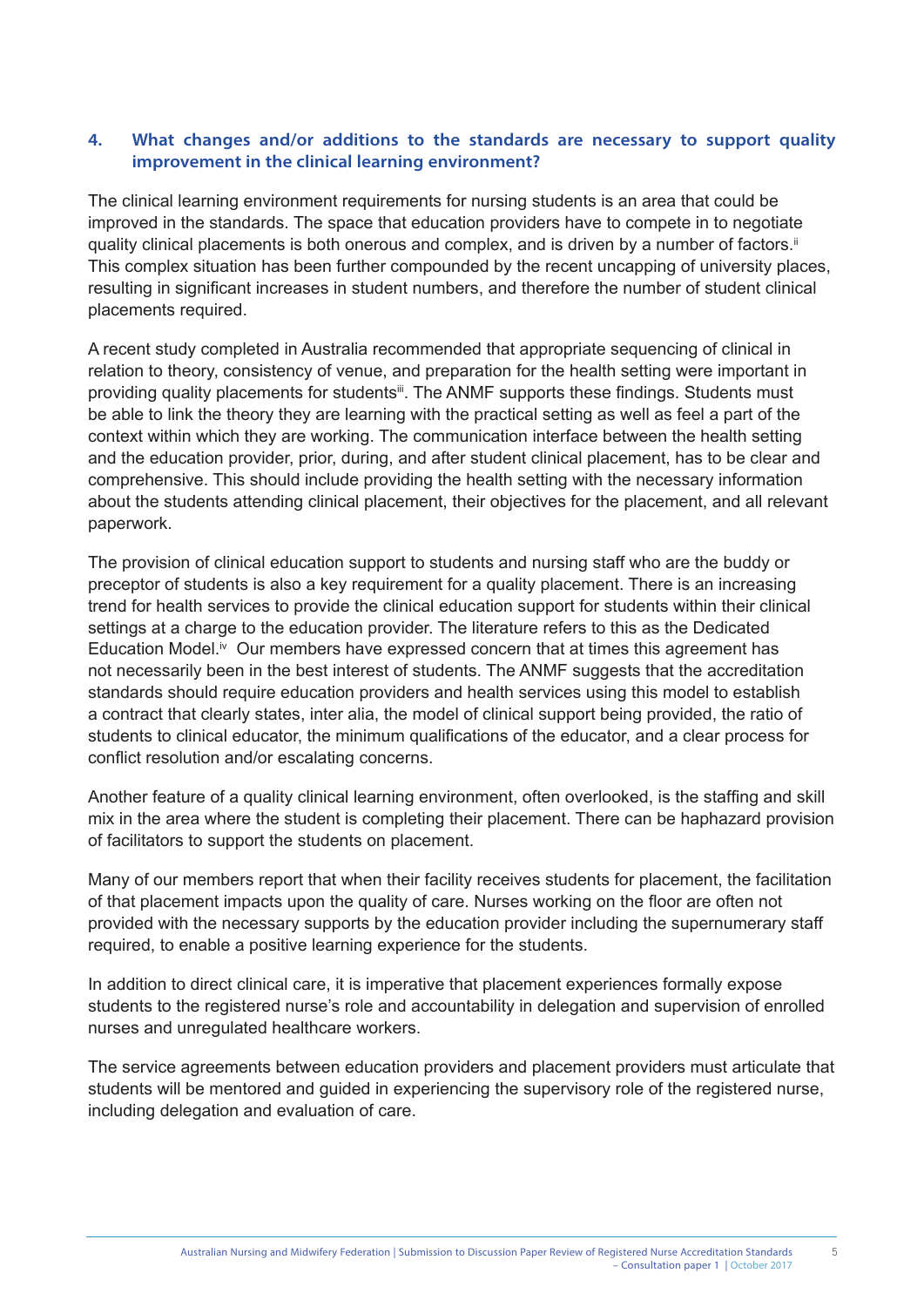#### **4. What changes and/or additions to the standards are necessary to support quality improvement in the clinical learning environment?**

The clinical learning environment requirements for nursing students is an area that could be improved in the standards. The space that education providers have to compete in to negotiate quality clinical placements is both onerous and complex, and is driven by a number of factors.<sup>ii</sup> This complex situation has been further compounded by the recent uncapping of university places, resulting in significant increases in student numbers, and therefore the number of student clinical placements required.

A recent study completed in Australia recommended that appropriate sequencing of clinical in relation to theory, consistency of venue, and preparation for the health setting were important in providing quality placements for students<sup>iii</sup>. The ANMF supports these findings. Students must be able to link the theory they are learning with the practical setting as well as feel a part of the context within which they are working. The communication interface between the health setting and the education provider, prior, during, and after student clinical placement, has to be clear and comprehensive. This should include providing the health setting with the necessary information about the students attending clinical placement, their objectives for the placement, and all relevant paperwork.

The provision of clinical education support to students and nursing staff who are the buddy or preceptor of students is also a key requirement for a quality placement. There is an increasing trend for health services to provide the clinical education support for students within their clinical settings at a charge to the education provider. The literature refers to this as the Dedicated Education Model.<sup>iv</sup> Our members have expressed concern that at times this agreement has not necessarily been in the best interest of students. The ANMF suggests that the accreditation standards should require education providers and health services using this model to establish a contract that clearly states, inter alia, the model of clinical support being provided, the ratio of students to clinical educator, the minimum qualifications of the educator, and a clear process for conflict resolution and/or escalating concerns.

Another feature of a quality clinical learning environment, often overlooked, is the staffing and skill mix in the area where the student is completing their placement. There can be haphazard provision of facilitators to support the students on placement.

Many of our members report that when their facility receives students for placement, the facilitation of that placement impacts upon the quality of care. Nurses working on the floor are often not provided with the necessary supports by the education provider including the supernumerary staff required, to enable a positive learning experience for the students.

In addition to direct clinical care, it is imperative that placement experiences formally expose students to the registered nurse's role and accountability in delegation and supervision of enrolled nurses and unregulated healthcare workers.

The service agreements between education providers and placement providers must articulate that students will be mentored and guided in experiencing the supervisory role of the registered nurse, including delegation and evaluation of care.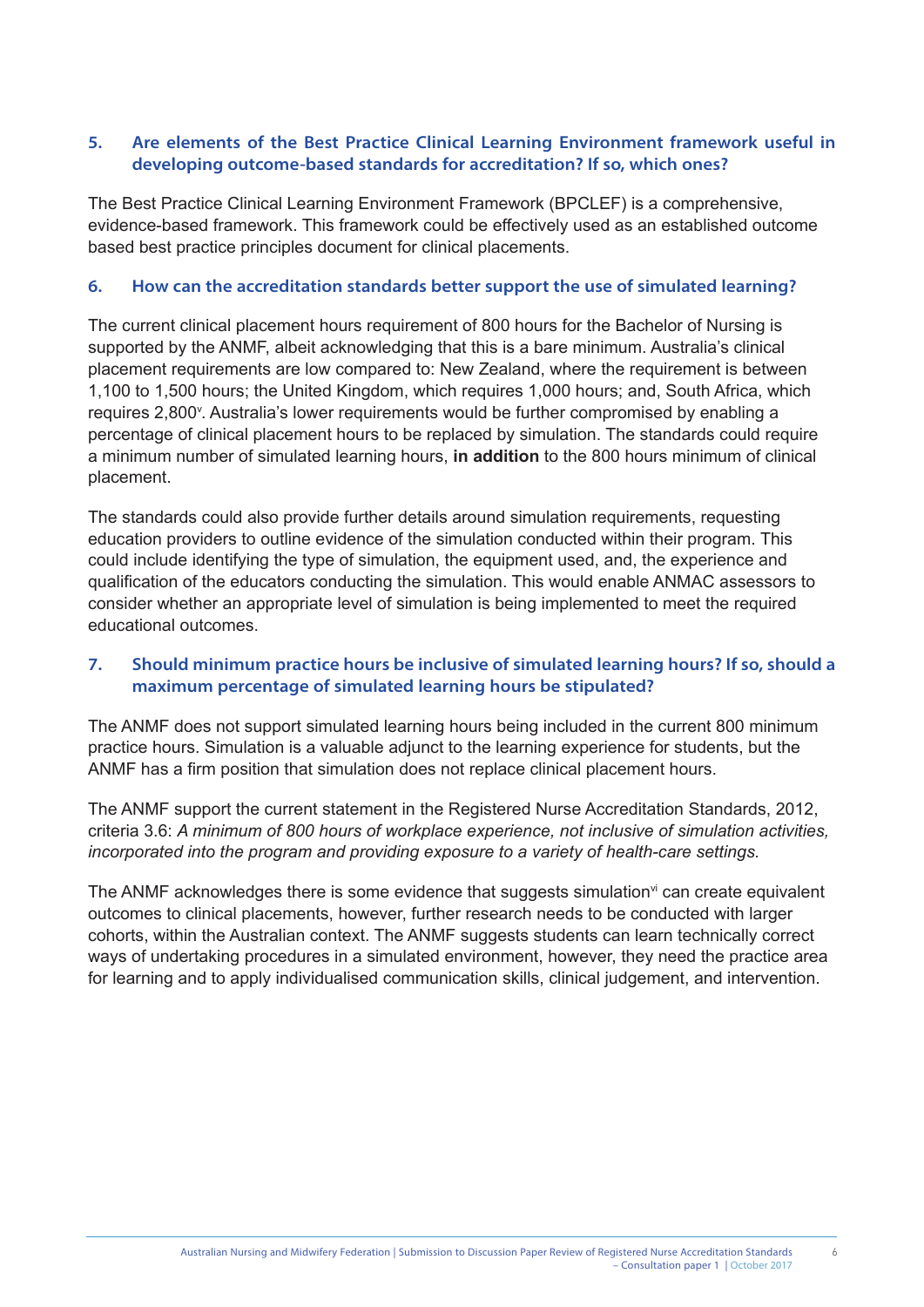#### **5. Are elements of the Best Practice Clinical Learning Environment framework useful in developing outcome-based standards for accreditation? If so, which ones?**

The Best Practice Clinical Learning Environment Framework (BPCLEF) is a comprehensive, evidence-based framework. This framework could be effectively used as an established outcome based best practice principles document for clinical placements.

#### **6. How can the accreditation standards better support the use of simulated learning?**

The current clinical placement hours requirement of 800 hours for the Bachelor of Nursing is supported by the ANMF, albeit acknowledging that this is a bare minimum. Australia's clinical placement requirements are low compared to: New Zealand, where the requirement is between 1,100 to 1,500 hours; the United Kingdom, which requires 1,000 hours; and, South Africa, which requires 2,800<sup>v</sup>. Australia's lower requirements would be further compromised by enabling a percentage of clinical placement hours to be replaced by simulation. The standards could require a minimum number of simulated learning hours, **in addition** to the 800 hours minimum of clinical placement.

The standards could also provide further details around simulation requirements, requesting education providers to outline evidence of the simulation conducted within their program. This could include identifying the type of simulation, the equipment used, and, the experience and qualification of the educators conducting the simulation. This would enable ANMAC assessors to consider whether an appropriate level of simulation is being implemented to meet the required educational outcomes.

#### **7. Should minimum practice hours be inclusive of simulated learning hours? If so, should a maximum percentage of simulated learning hours be stipulated?**

The ANMF does not support simulated learning hours being included in the current 800 minimum practice hours. Simulation is a valuable adjunct to the learning experience for students, but the ANMF has a firm position that simulation does not replace clinical placement hours.

The ANMF support the current statement in the Registered Nurse Accreditation Standards, 2012, criteria 3.6: *A minimum of 800 hours of workplace experience, not inclusive of simulation activities, incorporated into the program and providing exposure to a variety of health-care settings.* 

The ANMF acknowledges there is some evidence that suggests simulation<sup>vi</sup> can create equivalent outcomes to clinical placements, however, further research needs to be conducted with larger cohorts, within the Australian context. The ANMF suggests students can learn technically correct ways of undertaking procedures in a simulated environment, however, they need the practice area for learning and to apply individualised communication skills, clinical judgement, and intervention.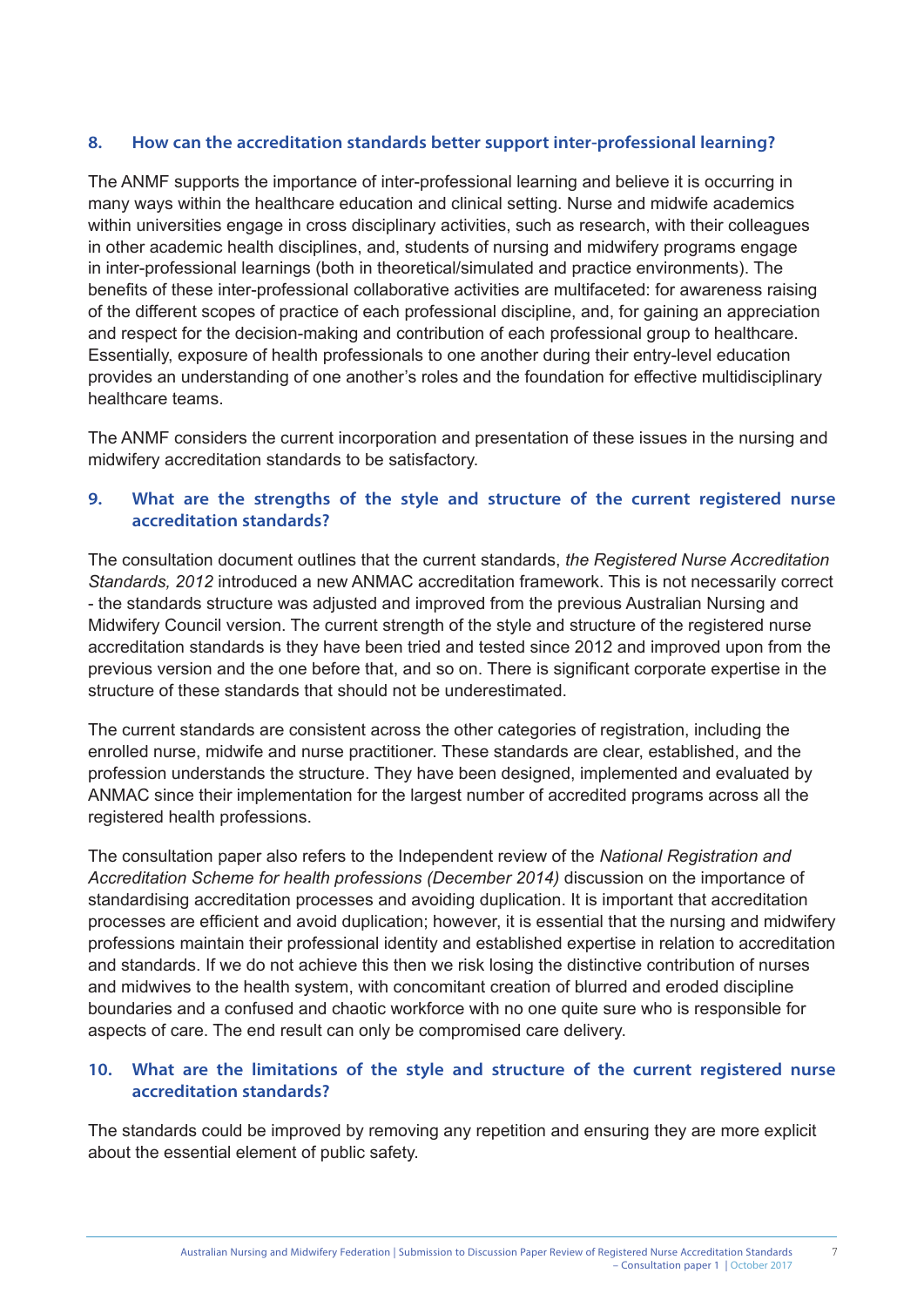#### **8. How can the accreditation standards better support inter-professional learning?**

The ANMF supports the importance of inter-professional learning and believe it is occurring in many ways within the healthcare education and clinical setting. Nurse and midwife academics within universities engage in cross disciplinary activities, such as research, with their colleagues in other academic health disciplines, and, students of nursing and midwifery programs engage in inter-professional learnings (both in theoretical/simulated and practice environments). The benefits of these inter-professional collaborative activities are multifaceted: for awareness raising of the different scopes of practice of each professional discipline, and, for gaining an appreciation and respect for the decision-making and contribution of each professional group to healthcare. Essentially, exposure of health professionals to one another during their entry-level education provides an understanding of one another's roles and the foundation for effective multidisciplinary healthcare teams.

The ANMF considers the current incorporation and presentation of these issues in the nursing and midwifery accreditation standards to be satisfactory.

#### **9. What are the strengths of the style and structure of the current registered nurse accreditation standards?**

The consultation document outlines that the current standards, *the Registered Nurse Accreditation Standards, 2012* introduced a new ANMAC accreditation framework. This is not necessarily correct - the standards structure was adjusted and improved from the previous Australian Nursing and Midwifery Council version. The current strength of the style and structure of the registered nurse accreditation standards is they have been tried and tested since 2012 and improved upon from the previous version and the one before that, and so on. There is significant corporate expertise in the structure of these standards that should not be underestimated.

The current standards are consistent across the other categories of registration, including the enrolled nurse, midwife and nurse practitioner. These standards are clear, established, and the profession understands the structure. They have been designed, implemented and evaluated by ANMAC since their implementation for the largest number of accredited programs across all the registered health professions.

The consultation paper also refers to the Independent review of the *National Registration and*  Accreditation Scheme for health professions (December 2014) discussion on the importance of standardising accreditation processes and avoiding duplication. It is important that accreditation processes are efficient and avoid duplication; however, it is essential that the nursing and midwifery professions maintain their professional identity and established expertise in relation to accreditation and standards. If we do not achieve this then we risk losing the distinctive contribution of nurses and midwives to the health system, with concomitant creation of blurred and eroded discipline boundaries and a confused and chaotic workforce with no one quite sure who is responsible for aspects of care. The end result can only be compromised care delivery.

#### **10. What are the limitations of the style and structure of the current registered nurse accreditation standards?**

The standards could be improved by removing any repetition and ensuring they are more explicit about the essential element of public safety.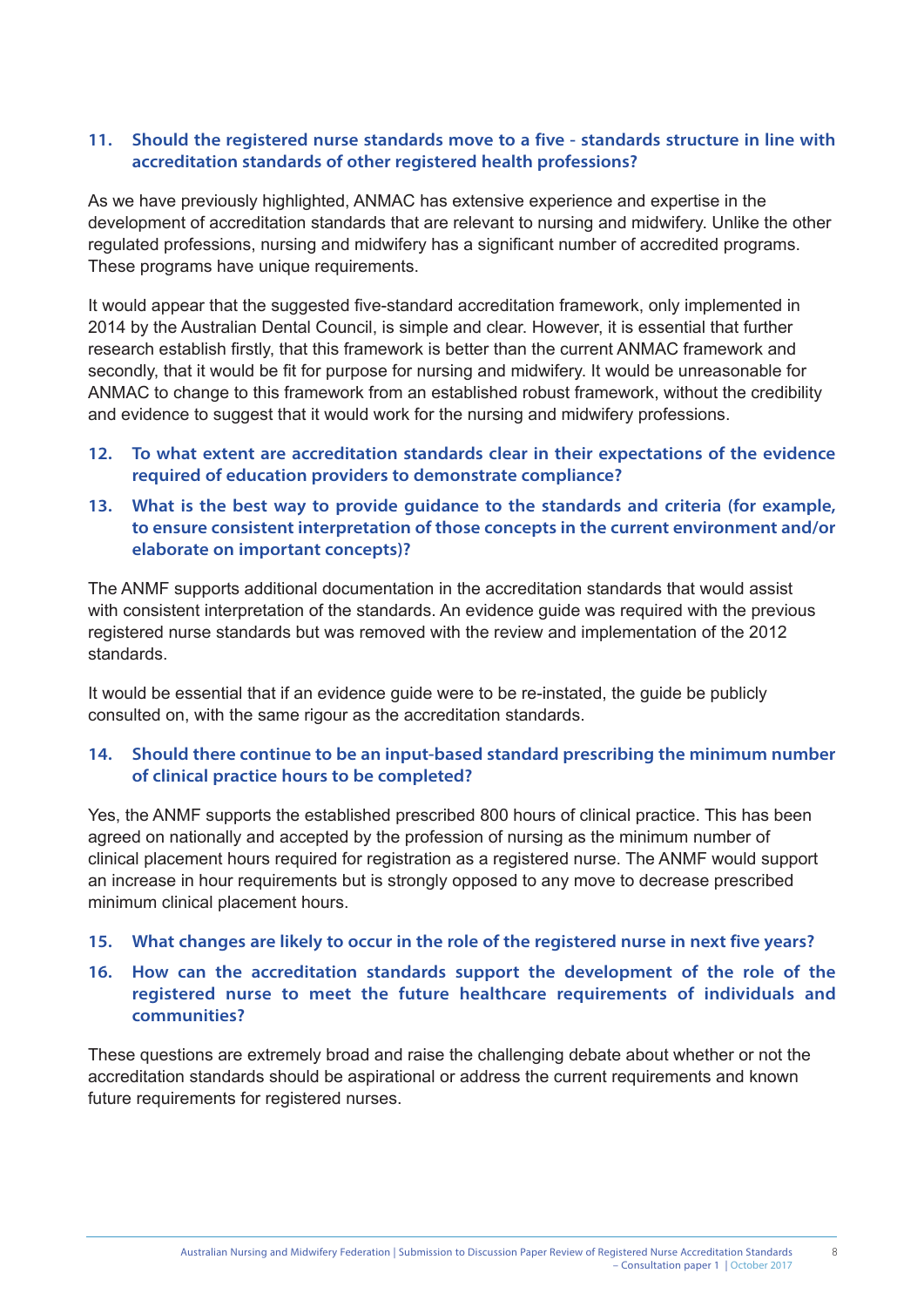#### **11. Should the registered nurse standards move to a five - standards structure in line with accreditation standards of other registered health professions?**

As we have previously highlighted, ANMAC has extensive experience and expertise in the development of accreditation standards that are relevant to nursing and midwifery. Unlike the other regulated professions, nursing and midwifery has a significant number of accredited programs. These programs have unique requirements.

It would appear that the suggested five-standard accreditation framework, only implemented in 2014 by the Australian Dental Council, is simple and clear. However, it is essential that further research establish firstly, that this framework is better than the current ANMAC framework and secondly, that it would be fit for purpose for nursing and midwifery. It would be unreasonable for ANMAC to change to this framework from an established robust framework, without the credibility and evidence to suggest that it would work for the nursing and midwifery professions.

- **12. To what extent are accreditation standards clear in their expectations of the evidence required of education providers to demonstrate compliance?**
- **13. What is the best way to provide guidance to the standards and criteria (for example, to ensure consistent interpretation of those concepts in the current environment and/or elaborate on important concepts)?**

The ANMF supports additional documentation in the accreditation standards that would assist with consistent interpretation of the standards. An evidence guide was required with the previous registered nurse standards but was removed with the review and implementation of the 2012 standards.

It would be essential that if an evidence guide were to be re-instated, the guide be publicly consulted on, with the same rigour as the accreditation standards.

#### **14. Should there continue to be an input-based standard prescribing the minimum number of clinical practice hours to be completed?**

Yes, the ANMF supports the established prescribed 800 hours of clinical practice. This has been agreed on nationally and accepted by the profession of nursing as the minimum number of clinical placement hours required for registration as a registered nurse. The ANMF would support an increase in hour requirements but is strongly opposed to any move to decrease prescribed minimum clinical placement hours.

#### **15. What changes are likely to occur in the role of the registered nurse in next five years?**

#### **16. How can the accreditation standards support the development of the role of the registered nurse to meet the future healthcare requirements of individuals and communities?**

These questions are extremely broad and raise the challenging debate about whether or not the accreditation standards should be aspirational or address the current requirements and known future requirements for registered nurses.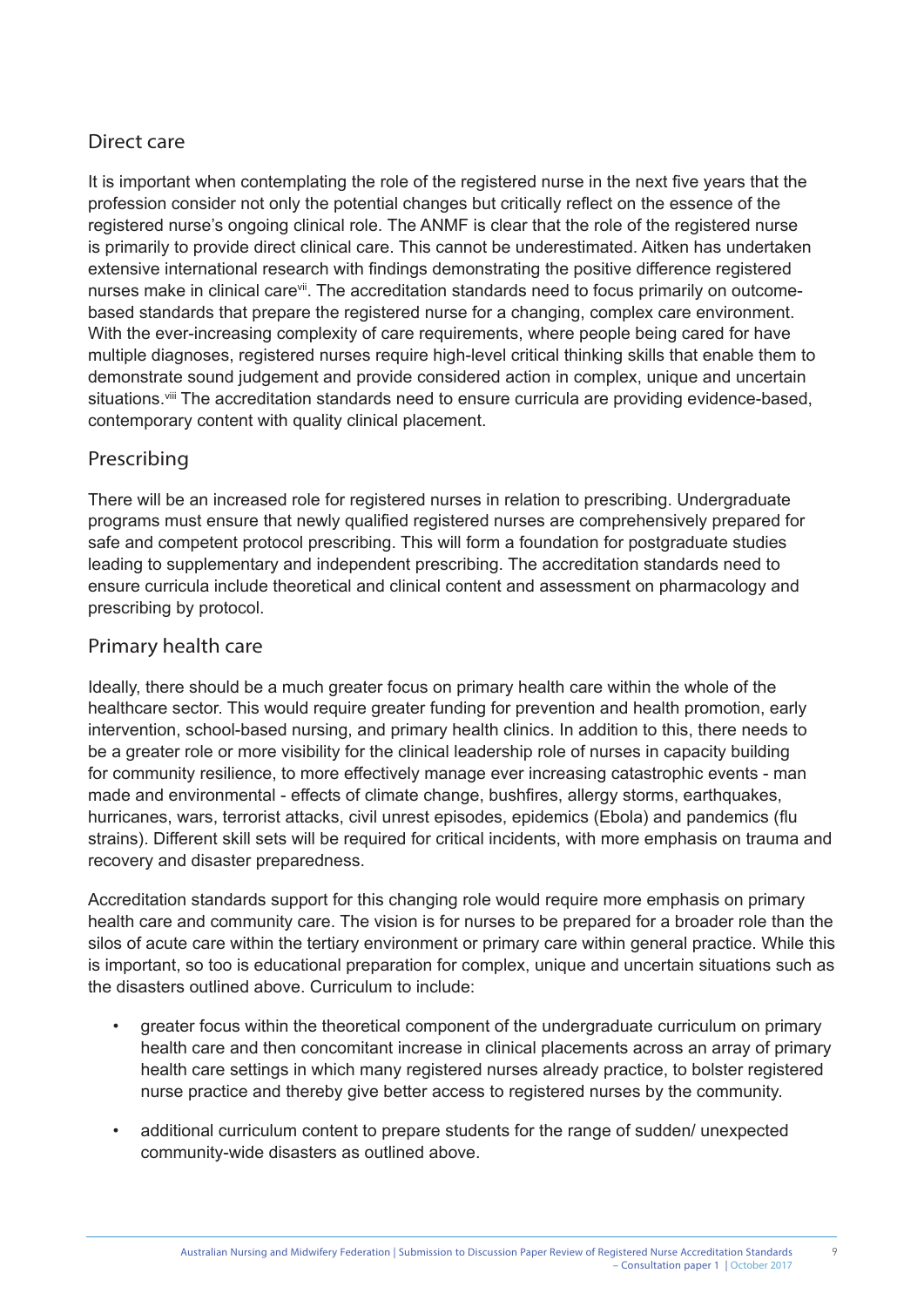# Direct care

It is important when contemplating the role of the registered nurse in the next five years that the profession consider not only the potential changes but critically reflect on the essence of the registered nurse's ongoing clinical role. The ANMF is clear that the role of the registered nurse is primarily to provide direct clinical care. This cannot be underestimated. Aitken has undertaken extensive international research with findings demonstrating the positive difference registered nurses make in clinical care<sup>vii</sup>. The accreditation standards need to focus primarily on outcomebased standards that prepare the registered nurse for a changing, complex care environment. With the ever-increasing complexity of care requirements, where people being cared for have multiple diagnoses, registered nurses require high-level critical thinking skills that enable them to demonstrate sound judgement and provide considered action in complex, unique and uncertain situations.<sup>viii</sup> The accreditation standards need to ensure curricula are providing evidence-based, contemporary content with quality clinical placement.

# Prescribing

There will be an increased role for registered nurses in relation to prescribing. Undergraduate programs must ensure that newly qualified registered nurses are comprehensively prepared for safe and competent protocol prescribing. This will form a foundation for postgraduate studies leading to supplementary and independent prescribing. The accreditation standards need to ensure curricula include theoretical and clinical content and assessment on pharmacology and prescribing by protocol.

# Primary health care

Ideally, there should be a much greater focus on primary health care within the whole of the healthcare sector. This would require greater funding for prevention and health promotion, early intervention, school-based nursing, and primary health clinics. In addition to this, there needs to be a greater role or more visibility for the clinical leadership role of nurses in capacity building for community resilience, to more effectively manage ever increasing catastrophic events - man made and environmental - effects of climate change, bushfires, allergy storms, earthquakes, hurricanes, wars, terrorist attacks, civil unrest episodes, epidemics (Ebola) and pandemics (flu strains). Different skill sets will be required for critical incidents, with more emphasis on trauma and recovery and disaster preparedness.

Accreditation standards support for this changing role would require more emphasis on primary health care and community care. The vision is for nurses to be prepared for a broader role than the silos of acute care within the tertiary environment or primary care within general practice. While this is important, so too is educational preparation for complex, unique and uncertain situations such as the disasters outlined above. Curriculum to include:

- greater focus within the theoretical component of the undergraduate curriculum on primary health care and then concomitant increase in clinical placements across an array of primary health care settings in which many registered nurses already practice, to bolster registered nurse practice and thereby give better access to registered nurses by the community.
- additional curriculum content to prepare students for the range of sudden/ unexpected community-wide disasters as outlined above.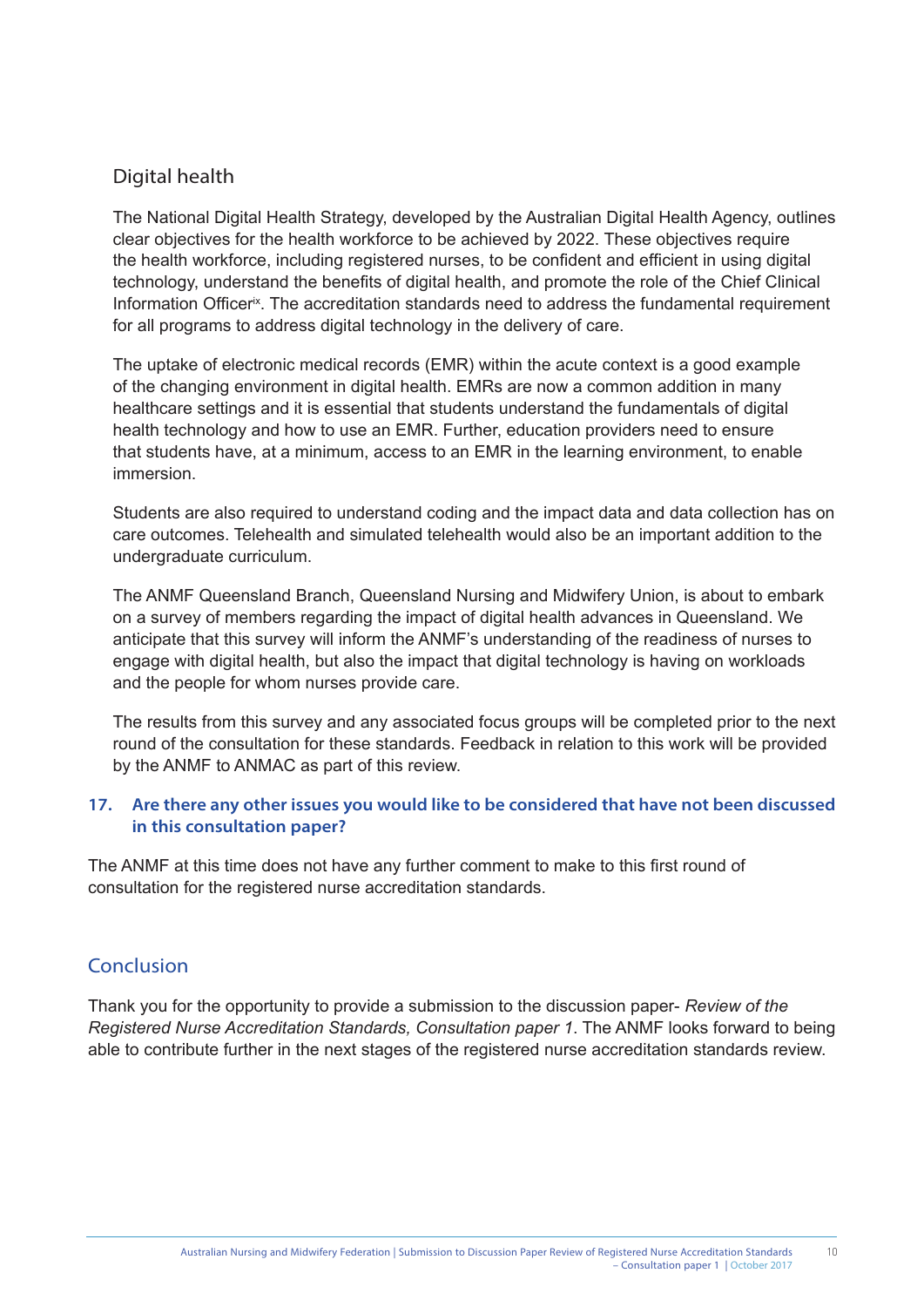#### Digital health

The National Digital Health Strategy, developed by the Australian Digital Health Agency, outlines clear objectives for the health workforce to be achieved by 2022. These objectives require the health workforce, including registered nurses, to be confident and efficient in using digital technology, understand the benefits of digital health, and promote the role of the Chief Clinical Information Officer<sup>ix</sup>. The accreditation standards need to address the fundamental requirement for all programs to address digital technology in the delivery of care.

The uptake of electronic medical records (EMR) within the acute context is a good example of the changing environment in digital health. EMRs are now a common addition in many healthcare settings and it is essential that students understand the fundamentals of digital health technology and how to use an EMR. Further, education providers need to ensure that students have, at a minimum, access to an EMR in the learning environment, to enable immersion.

Students are also required to understand coding and the impact data and data collection has on care outcomes. Telehealth and simulated telehealth would also be an important addition to the undergraduate curriculum.

The ANMF Queensland Branch, Queensland Nursing and Midwifery Union, is about to embark on a survey of members regarding the impact of digital health advances in Queensland. We anticipate that this survey will inform the ANMF's understanding of the readiness of nurses to engage with digital health, but also the impact that digital technology is having on workloads and the people for whom nurses provide care.

The results from this survey and any associated focus groups will be completed prior to the next round of the consultation for these standards. Feedback in relation to this work will be provided by the ANMF to ANMAC as part of this review.

#### **17. Are there any other issues you would like to be considered that have not been discussed in this consultation paper?**

The ANMF at this time does not have any further comment to make to this first round of consultation for the registered nurse accreditation standards.

# Conclusion

Thank you for the opportunity to provide a submission to the discussion paper- *Review of the Registered Nurse Accreditation Standards, Consultation paper 1*. The ANMF looks forward to being able to contribute further in the next stages of the registered nurse accreditation standards review.